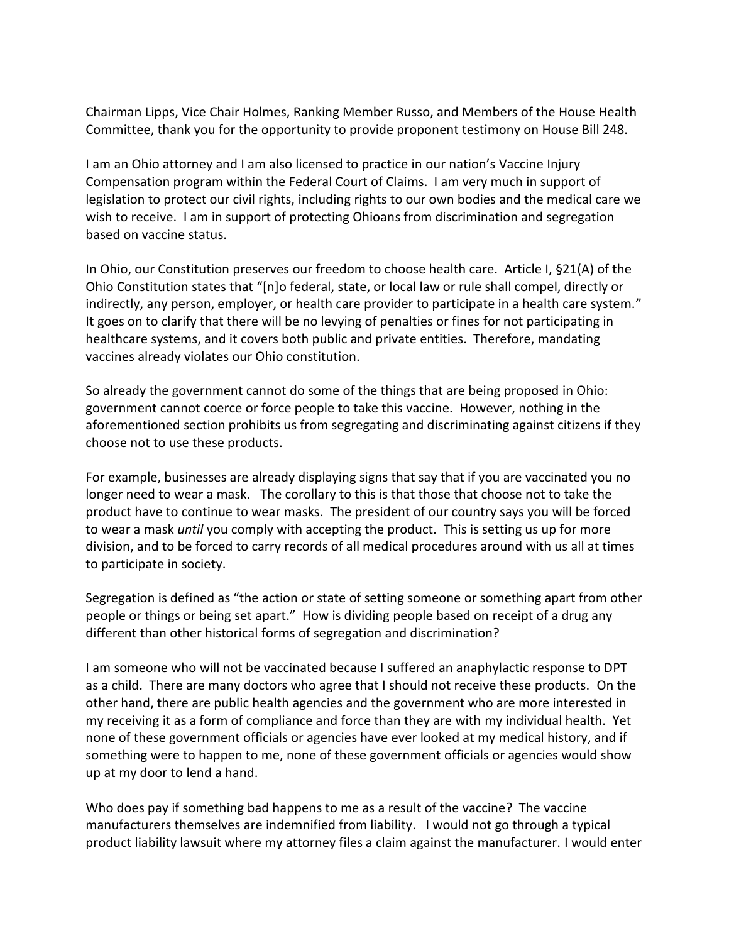Chairman Lipps, Vice Chair Holmes, Ranking Member Russo, and Members of the House Health Committee, thank you for the opportunity to provide proponent testimony on House Bill 248.

I am an Ohio attorney and I am also licensed to practice in our nation's Vaccine Injury Compensation program within the Federal Court of Claims. I am very much in support of legislation to protect our civil rights, including rights to our own bodies and the medical care we wish to receive. I am in support of protecting Ohioans from discrimination and segregation based on vaccine status.

In Ohio, our Constitution preserves our freedom to choose health care. Article I, §21(A) of the Ohio Constitution states that "[n]o federal, state, or local law or rule shall compel, directly or indirectly, any person, employer, or health care provider to participate in a health care system." It goes on to clarify that there will be no levying of penalties or fines for not participating in healthcare systems, and it covers both public and private entities. Therefore, mandating vaccines already violates our Ohio constitution.

So already the government cannot do some of the things that are being proposed in Ohio: government cannot coerce or force people to take this vaccine. However, nothing in the aforementioned section prohibits us from segregating and discriminating against citizens if they choose not to use these products.

For example, businesses are already displaying signs that say that if you are vaccinated you no longer need to wear a mask. The corollary to this is that those that choose not to take the product have to continue to wear masks. The president of our country says you will be forced to wear a mask *until* you comply with accepting the product. This is setting us up for more division, and to be forced to carry records of all medical procedures around with us all at times to participate in society.

Segregation is defined as "the action or state of setting someone or something apart from other people or things or being set apart." How is dividing people based on receipt of a drug any different than other historical forms of segregation and discrimination?

I am someone who will not be vaccinated because I suffered an anaphylactic response to DPT as a child. There are many doctors who agree that I should not receive these products. On the other hand, there are public health agencies and the government who are more interested in my receiving it as a form of compliance and force than they are with my individual health. Yet none of these government officials or agencies have ever looked at my medical history, and if something were to happen to me, none of these government officials or agencies would show up at my door to lend a hand.

Who does pay if something bad happens to me as a result of the vaccine? The vaccine manufacturers themselves are indemnified from liability. I would not go through a typical product liability lawsuit where my attorney files a claim against the manufacturer. I would enter